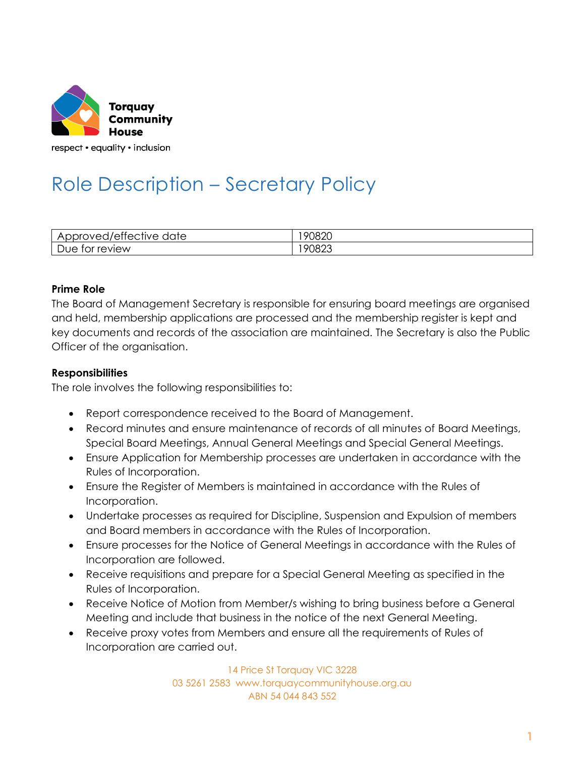

# Role Description – Secretary Policy

| .<br>$\cdot$<br>d/ettective.<br>date<br>$\overline{\phantom{a}}$<br>ாபட<br>יטענ<br>АF<br>0<br>ີ<br>. .<br>◡ | ററാറ<br>או |
|-------------------------------------------------------------------------------------------------------------|------------|
| review                                                                                                      | $\sim$     |
| Due                                                                                                         | $\cdot$    |
| tor                                                                                                         | ∪ర∠ు       |

### **Prime Role**

The Board of Management Secretary is responsible for ensuring board meetings are organised and held, membership applications are processed and the membership register is kept and key documents and records of the association are maintained. The Secretary is also the Public Officer of the organisation.

### **Responsibilities**

The role involves the following responsibilities to:

- Report correspondence received to the Board of Management.
- Record minutes and ensure maintenance of records of all minutes of Board Meetings, Special Board Meetings, Annual General Meetings and Special General Meetings.
- Ensure Application for Membership processes are undertaken in accordance with the Rules of Incorporation.
- Ensure the Register of Members is maintained in accordance with the Rules of Incorporation.
- Undertake processes as required for Discipline, Suspension and Expulsion of members and Board members in accordance with the Rules of Incorporation.
- Ensure processes for the Notice of General Meetings in accordance with the Rules of Incorporation are followed.
- Receive requisitions and prepare for a Special General Meeting as specified in the Rules of Incorporation.
- Receive Notice of Motion from Member/s wishing to bring business before a General Meeting and include that business in the notice of the next General Meeting.
- Receive proxy votes from Members and ensure all the requirements of Rules of Incorporation are carried out.

14 Price St Torquay VIC 3228 03 5261 2583 www.torquaycommunityhouse.org.au ABN 54 044 843 552